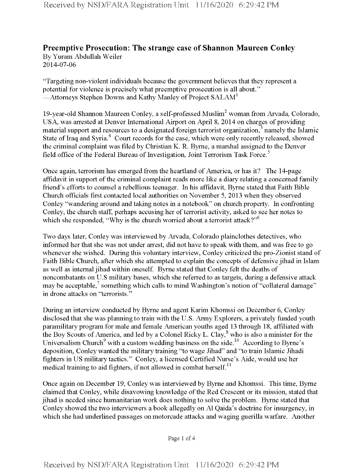## **Preemptive Prosecution: The strange case of Shannon Maureen Conley** By Yuram Abdullah Weiler

2014-07-06

"Targeting non-violent individuals because the government believes that they represent a potential for violence is precisely what preemptive prosecution is all about." —Attorneys Stephen Downs and Kathy Manley of Project SALAM<sup>1</sup>

19-year-old Shannon Maureen Conley, a self-professed Muslim<sup>2</sup> woman from Arvada, Colorado, USA, was arrested at Denver International Airport on April 8, 2014 on charges of providing material support and resources to a designated foreign terrorist organization, $3$  namely the Islamic State of Iraq and Syria.<sup>4</sup> Court records for the case, which were only recently released, showed the criminal complaint was filed by Christian K. R. Byrne, a marshal assigned to the Denver field office of the Federal Bureau of Investigation, Joint Terrorism Task Force.<sup>5</sup>

Once again, terrorism has emerged from the heartland of America, or has it? The 14-page affidavit in support of the criminal complaint reads more like a diary relating a concerned family friend's efforts to counsel a rebellious teenager. In his affidavit, Byrne stated that Faith Bible Church officials first contacted local authorities on November 5, 2013 when they observed Conley "wandering around and taking notes in a notebook" on church property. In confronting Conley, the church staff, perhaps accusing her of terrorist activity, asked to see her notes to which she responded, "Why is the church worried about a terrorist attack?"<sup>6</sup>

Two days later, Conley was interviewed by Arvada, Colorado plainclothes detectives, who informed her that she was not under arrest, did not have to speak with them, and was free to go whenever she wished. During this voluntary interview, Conley criticized the pro-Zionist stand of Faith Bible Church, after which she attempted to explain the concepts of defensive jihad in Islam as well as internal jihad within oneself. Byrne stated that Conley felt the deaths of noncombatants on U.S military bases, which she referred to as targets, during a defensive attack may be acceptable, $\frac{7}{1}$  something which calls to mind Washington's notion of "collateral damage" in drone attacks on "terrorists."

During an interview conducted by Byrne and agent Karim Khomssi on December 6, Conley disclosed that she was planning to train with the U.S. Army Explorers, a privately funded youth paramilitary program for male and female American youths aged 13 through 18, affiliated with the Boy Scouts of America, and led by a Colonel Ricky L. Clay,<sup>8</sup> who is also a minister for the Universalism Church<sup>9</sup> with a custom wedding business on the side.<sup>10</sup> According to Byrne's deposition, Conley wanted the military training "to wage Jihad" and "to train Islamic Jihadi fighters in US military tactics." Conley, a licensed Certified Nurse's Aide, would use her medical training to aid fighters, if not allowed in combat herself.<sup>11</sup>

Once again on December 19, Conley was interviewed by Byrne and Khomssi. This time, Byrne claimed that Conley, while disavowing knowledge of the Red Crescent or its mission, stated that jihad is needed since humanitarian work does nothing to solve the problem. Byrne stated that Conley showed the two interviewers a book allegedly on A1 Qaida's doctrine for insurgency, in which she had underlined passages on motorcade attacks and waging guerilla warfare. Another

Page <sup>1</sup> of 4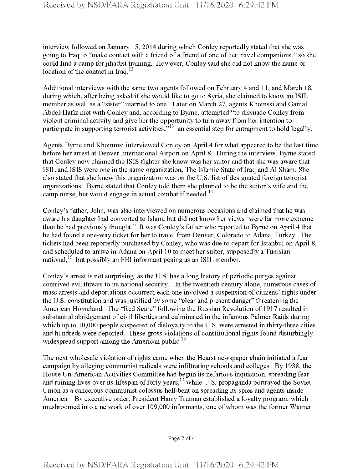interview followed on January 15, 2014 during which Conley reportedly stated that she was going to Iraq to "make contact with a friend of a friend of one of her travel companions," so she could find a camp for jihadist training. However, Conley said she did not know the name or location of the contact in Iraq. $^{12}$ 

Additional interviews with the same two agents followed on February 4 and 11, and March 18, during which, after being asked if she would like to go to Syria, she claimed to know an ISIL member as well as a "sister" married to one. Later on March 27, agents Khomssi and Gamal Abdel-Hafiz met with Conley and, according to Byrne, attempted "to dissuade Conley from violent criminal activity and give her the opportunity to turn away from her intention to participate in supporting terrorist activities,<sup>313</sup> an essential step for entrapment to hold legally.

Agents Byrne and Khommsi interviewed Conley on April 4 for what appeared to be the last time before her arrest at Denver International Airport on April 8. During the interview, Byrne stated that Conley now claimed the ISIS fighter she knew was her suitor and that she was aware that ISIL and ISIS were one in the same organization, The Islamic State ofIraq and A1 Sham. She also stated that she knew this organization was on the U.S. list of designated foreign terrorist organizations. Byrne stated that Conley told them she planned to be the suitor's wife and the camp nurse, but would engage in actual combat if needed.<sup>14</sup>

Conley's father, John, was also interviewed on numerous occasions and claimed that he was aware his daughter had converted to Islam, but did not know her views "were far more extreme than he had previously thought." It was Conley's father who reported to Byrne on April 4 that he had found a one-way ticket for her to travel from Denver, Colorado to Adana, Turkey. The tickets had been reportedly purchased by Conley, who was due to depart for Istanbul on April 8, and scheduled to arrive in Adana on April 10 to meet her suitor, supposedly a Tunisian national,<sup>15</sup> but possibly an FBI informant posing as an ISIL member.

Conley's arrest is not surprising, as the U.S. has a long history of periodic purges against contrived evil threats to its national security. In the twentieth century alone, numerous cases of mass arrests and deportations occurred; each one involved a suspension of citizens' rights under the U.S. constitution and was justified by some "clear and present danger" threatening the American Homeland. The "Red Scare" following the Russian Revolution of 1917 resulted in substantial abridgement of civil liberties and culminated in the infamous Palmer Raids during which up to 10,000 people suspected of disloyalty to the U.S. were arrested in thirty-three cities and hundreds were deported. These gross violations of constitutional rights found disturbingly widespread support among the American public.<sup>16</sup>

The next wholesale violation ofrights came when the Hearst newspaper chain initiated a fear campaign by alleging communist radicals were infiltrating schools and colleges. By 1938, the House Un-American Activities Committee had begun its nefarious inquisition, spreading fear and ruining lives over its lifespan of forty years,<sup>17</sup> while U.S. propaganda portrayed the Soviet Union as a cancerous communist colossus hell-bent on spreading its spies and agents inside America. By executive order, President Harry Truman established a loyalty program, which mushroomed into a network of over 109,000 informants, one ofwhom was the former Warner

Page 2 of 4

**Received by NSD/FARA Registration Unit 11/16/2020 6:29:42 PM**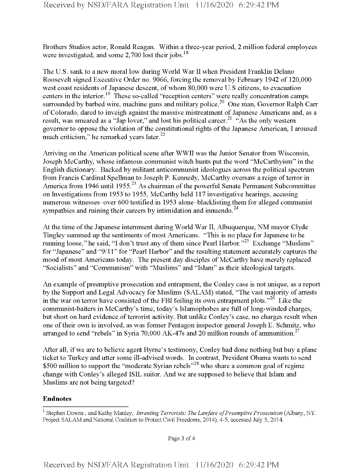Brothers Studios actor, Ronald Reagan. Within a three-year period, 2 million federal employees were investigated, and some  $2,700$  lost their jobs.<sup>18</sup>

The U.S. sank to a new moral low during World War II when President Franklin Delano Roosevelt signed Executive Order no. 9066, forcing the removal by February 1942 of 120,000 west coast residents of Japanese descent, of whom 80,000 were U.S citizens, to evacuation centers in the interior.<sup>19</sup> These so-called "reception centers" were really concentration camps surrounded by barbed wire, machine guns and military police.<sup>20</sup> One man, Governor Ralph Carr of Colorado, dared to inveigh against the massive mistreatment of Japanese Americans and, as a result, was smeared as a "Jap lover," and lost his political career.<sup>21</sup>  $\cdot$ "As the only western governor to oppose the violation of the constitutional rights of the Japanese American, I aroused much criticism," he remarked years later. $^{22}$ 

Arriving on the American political scene after WWII was the Junior Senator from Wisconsin, Joseph McCarthy, whose infamous communist witch hunts put the word "McCarthyism" in the English dictionary. Backed by militant anticommunist ideologues across the political spectrum from Francis Cardinal Spellman to Joseph P. Kennedy, McCarthy oversaw a reign of terror in America from 1946 until 1955.<sup>23</sup> As chairman of the powerful Senate Permanent Subcommittee on Investigations from 1953 to 1955, McCarthy held 117 investigative hearings, accusing numerous witnesses-over 600 testified in 1953 alone-blacklisting them for alleged communist sympathies and ruining their careers by intimidation and innuendo.<sup>24</sup>

At the time of the Japanese internment during World War II, Albuquerque, NM mayor Clyde Tingley summed up the sentiments of most Americans. "This is no place for Japanese to be running loose," he said, "I don't trust any of them since Pearl Harbor."<sup>25</sup> Exchange "Muslims" for "Japanese" and "9/11" for "Pearl Harbor" and the resulting statement accurately captures the mood of most Americans today. The present day disciples of McCarthy have merely replaced "Socialists" and "Communism" with "Muslims" and "Islam" as their ideological targets.

An example of preemptive prosecution and entrapment, the Conley case is not unique, as a report by the Support and Legal Advocacy for Muslims (SALAM) stated, "The vast majority of arrests in the war on terror have consisted of the FBI foiling its own entrapment plots.<sup> $26$ </sup> Like the communist-baiters in McCarthy's time, today's Islamophobes are full of long-winded charges, but short on hard evidence of terrorist activity. But unlike Conley's case, no charges result when one oftheir own is involved, as was former Pentagon inspector general Joseph E. Schmitz, who arranged to send "rebels" in Syria 70,000 AK-47s and 20 million rounds of ammunition.<sup>27</sup>

After all, if we are to believe agent Byrne's testimony, Conley had done nothing but buy a plane ticket to Turkey and utter some ill-advised words. In contrast, President Obama wants to send \$500 million to support the "moderate Syrian rebels"<sup>28</sup> who share a common goal of regime change with Conley's alleged ISIL suitor. And we are supposed to believe that Islam and Muslims are not being targeted?

## **Endnotes**

Page 3 of 4

<sup>1</sup> Stephen Downs , and Kathy Manley, *Inventing Terrorists: The Lawfare of Preemptive Prosecution* (Albany, NY: Project SALAM and National Coalition to Protect Civil Freedoms, 2014), 4-5, accessed July 5, 2014,